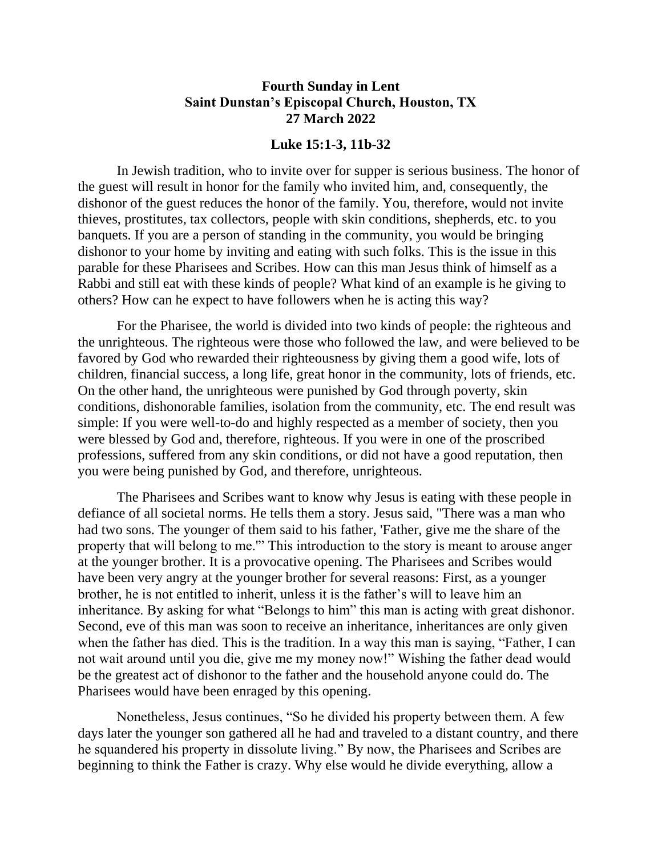## **Fourth Sunday in Lent Saint Dunstan's Episcopal Church, Houston, TX 27 March 2022**

## **Luke 15:1-3, 11b-32**

In Jewish tradition, who to invite over for supper is serious business. The honor of the guest will result in honor for the family who invited him, and, consequently, the dishonor of the guest reduces the honor of the family. You, therefore, would not invite thieves, prostitutes, tax collectors, people with skin conditions, shepherds, etc. to you banquets. If you are a person of standing in the community, you would be bringing dishonor to your home by inviting and eating with such folks. This is the issue in this parable for these Pharisees and Scribes. How can this man Jesus think of himself as a Rabbi and still eat with these kinds of people? What kind of an example is he giving to others? How can he expect to have followers when he is acting this way?

For the Pharisee, the world is divided into two kinds of people: the righteous and the unrighteous. The righteous were those who followed the law, and were believed to be favored by God who rewarded their righteousness by giving them a good wife, lots of children, financial success, a long life, great honor in the community, lots of friends, etc. On the other hand, the unrighteous were punished by God through poverty, skin conditions, dishonorable families, isolation from the community, etc. The end result was simple: If you were well-to-do and highly respected as a member of society, then you were blessed by God and, therefore, righteous. If you were in one of the proscribed professions, suffered from any skin conditions, or did not have a good reputation, then you were being punished by God, and therefore, unrighteous.

The Pharisees and Scribes want to know why Jesus is eating with these people in defiance of all societal norms. He tells them a story. Jesus said, "There was a man who had two sons. The younger of them said to his father, 'Father, give me the share of the property that will belong to me.'" This introduction to the story is meant to arouse anger at the younger brother. It is a provocative opening. The Pharisees and Scribes would have been very angry at the younger brother for several reasons: First, as a younger brother, he is not entitled to inherit, unless it is the father's will to leave him an inheritance. By asking for what "Belongs to him" this man is acting with great dishonor. Second, eve of this man was soon to receive an inheritance, inheritances are only given when the father has died. This is the tradition. In a way this man is saying, "Father, I can not wait around until you die, give me my money now!" Wishing the father dead would be the greatest act of dishonor to the father and the household anyone could do. The Pharisees would have been enraged by this opening.

Nonetheless, Jesus continues, "So he divided his property between them. A few days later the younger son gathered all he had and traveled to a distant country, and there he squandered his property in dissolute living." By now, the Pharisees and Scribes are beginning to think the Father is crazy. Why else would he divide everything, allow a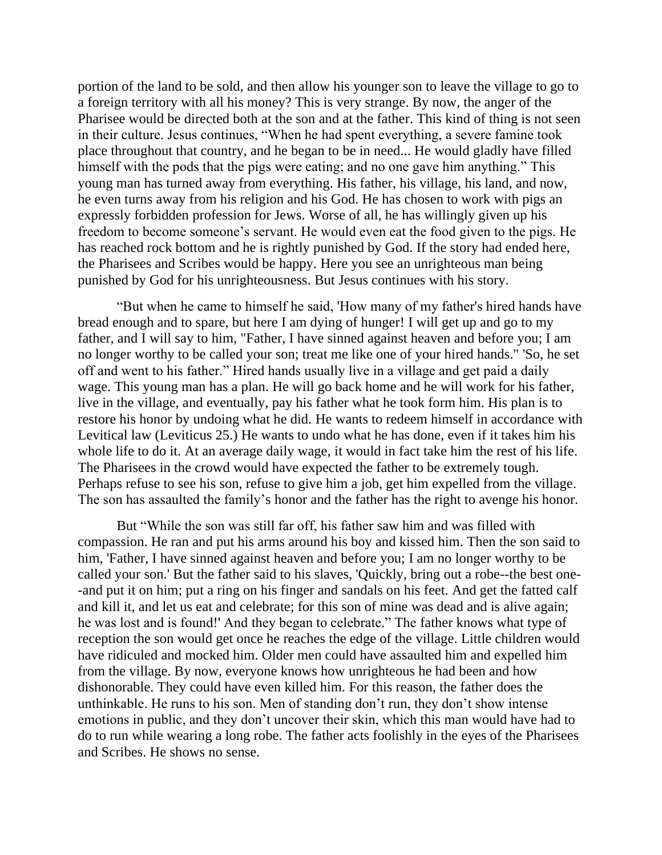portion of the land to be sold, and then allow his younger son to leave the village to go to a foreign territory with all his money? This is very strange. By now, the anger of the Pharisee would be directed both at the son and at the father. This kind of thing is not seen in their culture. Jesus continues, "When he had spent everything, a severe famine took place throughout that country, and he began to be in need... He would gladly have filled himself with the pods that the pigs were eating; and no one gave him anything." This young man has turned away from everything. His father, his village, his land, and now, he even turns away from his religion and his God. He has chosen to work with pigs an expressly forbidden profession for Jews. Worse of all, he has willingly given up his freedom to become someone's servant. He would even eat the food given to the pigs. He has reached rock bottom and he is rightly punished by God. If the story had ended here, the Pharisees and Scribes would be happy. Here you see an unrighteous man being punished by God for his unrighteousness. But Jesus continues with his story.

"But when he came to himself he said, 'How many of my father's hired hands have bread enough and to spare, but here I am dying of hunger! I will get up and go to my father, and I will say to him, "Father, I have sinned against heaven and before you; I am no longer worthy to be called your son; treat me like one of your hired hands." 'So, he set off and went to his father." Hired hands usually live in a village and get paid a daily wage. This young man has a plan. He will go back home and he will work for his father, live in the village, and eventually, pay his father what he took form him. His plan is to restore his honor by undoing what he did. He wants to redeem himself in accordance with Levitical law (Leviticus 25.) He wants to undo what he has done, even if it takes him his whole life to do it. At an average daily wage, it would in fact take him the rest of his life. The Pharisees in the crowd would have expected the father to be extremely tough. Perhaps refuse to see his son, refuse to give him a job, get him expelled from the village. The son has assaulted the family's honor and the father has the right to avenge his honor.

But "While the son was still far off, his father saw him and was filled with compassion. He ran and put his arms around his boy and kissed him. Then the son said to him, 'Father, I have sinned against heaven and before you; I am no longer worthy to be called your son.' But the father said to his slaves, 'Quickly, bring out a robe--the best one- -and put it on him; put a ring on his finger and sandals on his feet. And get the fatted calf and kill it, and let us eat and celebrate; for this son of mine was dead and is alive again; he was lost and is found!' And they began to celebrate." The father knows what type of reception the son would get once he reaches the edge of the village. Little children would have ridiculed and mocked him. Older men could have assaulted him and expelled him from the village. By now, everyone knows how unrighteous he had been and how dishonorable. They could have even killed him. For this reason, the father does the unthinkable. He runs to his son. Men of standing don't run, they don't show intense emotions in public, and they don't uncover their skin, which this man would have had to do to run while wearing a long robe. The father acts foolishly in the eyes of the Pharisees and Scribes. He shows no sense.